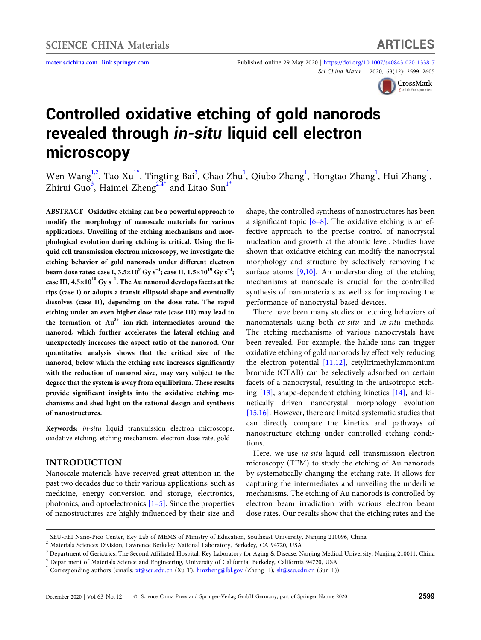**<mater.scichina.com><link.springer.com>** Published online 29 May 2020 | <https://doi.org/10.1007/s40843-020-1338-7> *Sci China Mater* 20[20,](http://crossmark.crossref.org/dialog/?doi=10.1007/s40843-020-1338-7&domain=pdf&date_stamp=2020-05-14) [63\(12\):](http://crossmark.crossref.org/dialog/?doi=10.1007/s40843-020-1338-7&domain=pdf&date_stamp=2020-05-14) [2599–2605](http://crossmark.crossref.org/dialog/?doi=10.1007/s40843-020-1338-7&domain=pdf&date_stamp=2020-05-14)



# **Controlled oxidative etching of gold nanorods revealed through** *in-situ* **liquid cell electron microscopy**

Wen Wang<sup>[1,](#page-0-0)[2](#page-0-1)</sup>, Tao Xu<sup>1[\\*](#page-0-2)</sup>, Tingting Bai<sup>[3](#page-0-3)</sup>, Chao Zhu<sup>[1](#page-0-0)</sup>, Qiubo Zhang<sup>1</sup>, Hongtao Zhang<sup>1</sup>, Hui Zhang<sup>1</sup>, Zhirui Guo<sup>[3](#page-0-3)</sup>, Haimei Zheng<sup>[2,](#page-0-1)[4](#page-0-4)[\\*](#page-0-2)</sup> and Litao Sun<sup>[1](#page-0-0)\*</sup>

**ABSTRACT Oxidative etching can be a powerful approach to modify the morphology of nanoscale materials for various applications. Unveiling of the etching mechanisms and morphological evolution during etching is critical. Using the liquid cell transmission electron microscopy, we investigate the etching behavior of gold nanorods under different electron beam dose rates: case I, 3.5×10<sup>9</sup>**  $Gy s^{-1}$ **; case II, 1.5×10<sup>10</sup>**  $Gy s^{-1}$ **; case III, 4.5×10<sup>10</sup> Gy s−1. The Au nanorod develops facets at the tips (case I) or adopts a transit ellipsoid shape and eventually dissolves (case II), depending on the dose rate. The rapid etching under an even higher dose rate (case III) may lead to the formation of Au3+ ion-rich intermediates around the nanorod, which further accelerates the lateral etching and unexpectedly increases the aspect ratio of the nanorod. Our quantitative analysis shows that the critical size of the nanorod, below which the etching rate increases significantly with the reduction of nanorod size, may vary subject to the degree that the system is away from equilibrium. These results provide significant insights into the oxidative etching mechanisms and shed light on the rational design and synthesis of nanostructures.**

**Keywords:** *in*-*situ* liquid transmission electron microscope, oxidative etching, etching mechanism, electron dose rate, gold

#### **INTRODUCTION**

Nanoscale materials have received great attention in the past two decades due to their various applications, such as medicine, energy conversion and storage, electronics, photonics, and optoelectronics  $[1-5]$  $[1-5]$ . Since the properties of nanostructures are highly influenced by their size and shape, the controlled synthesis of nanostructures has been a significant topic  $[6-8]$ . The oxidative etching is an effective approach to the precise control of nanocrystal nucleation and growth at the atomic level. Studies have shown that oxidative etching can modify the nanocrystal morphology and structure by selectively removing the surface atoms [9[,10\]](#page-5-2). An understanding of the etching mechanisms at nanoscale is crucial for the controlled synthesis of nanomaterials as well as for improving the performance of nanocrystal-based devices.

There have been many studies on etching behaviors of nanomaterials using both *ex-situ* and *in-situ* methods. The etching mechanisms of various nanocrystals have been revealed. For example, the halide ions can trigger oxidative etching of gold nanorods by effectively reducing the electron potential [11[,12\]](#page-5-3), cetyltrimethylammonium bromide (CTAB) can be selectively adsorbed on certain facets of a nanocrystal, resulting in the anisotropic etching [\[13\]](#page-5-4), shape-dependent etching kinetics [\[14\]](#page-5-5), and kinetically driven nanocrystal morphology evolution [15[,16](#page-6-0)]. However, there are limited systematic studies that can directly compare the kinetics and pathways of nanostructure etching under controlled etching conditions.

Here, we use *in-situ* liquid cell transmission electron microscopy (TEM) to study the etching of Au nanorods by systematically changing the etching rate. It allows for capturing the intermediates and unveiling the underline mechanisms. The etching of Au nanorods is controlled by electron beam irradiation with various electron beam dose rates. Our results show that the etching rates and the

<span id="page-0-0"></span><sup>1</sup> SEU-FEI Nano-Pico Center, Key Lab of MEMS of Ministry of Education, Southeast University, Nanjing 210096, China

<span id="page-0-1"></span><sup>2</sup> Materials Sciences Division, Lawrence Berkeley National Laboratory, Berkeley, CA 94720, USA

<span id="page-0-3"></span> $^3$  Department of Geriatrics, The Second Affiliated Hospital, Key Laboratory for Aging & Disease, Nanjing Medical University, Nanjing 210011, China <sup>4</sup> Department of Materials Science and Engineering, University of California, Berkeley, California 94720, USA

<span id="page-0-4"></span>

<span id="page-0-2"></span><sup>\*</sup> Corresponding authors (emails: xt@seu.edu.cn (Xu T); hmzheng@lbl.gov (Zheng H); slt@seu.edu.cn (Sun L))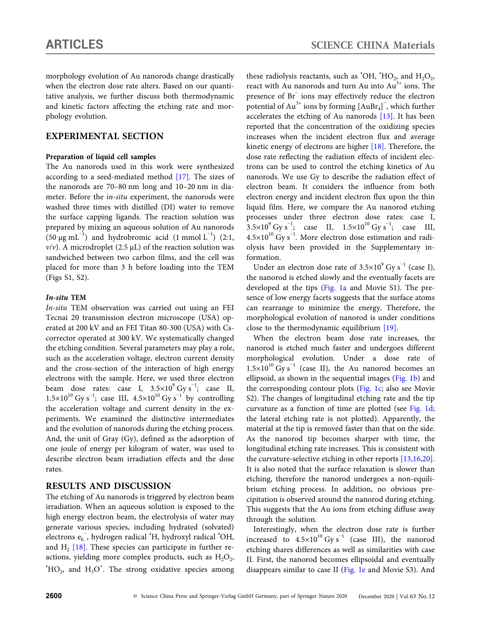morphology evolution of Au nanorods change drastically when the electron dose rate alters. Based on our quantitative analysis, we further discuss both thermodynamic and kinetic factors affecting the etching rate and morphology evolution.

# **EXPERIMENTAL SECTION**

#### **Preparation of liquid cell samples**

The Au nanorods used in this work were synthesized according to a seed-mediated method [\[17\]](#page-6-1). The sizes of the nanorods are 70–80 nm long and 10–20 nm in diameter. Before the *in-situ* experiment, the nanorods were washed three times with distilled (DI) water to remove the surface capping ligands. The reaction solution was prepared by mixing an aqueous solution of Au nanorods (50 μg mL<sup>-1</sup>) and hydrobromic acid (1 mmol L<sup>-1</sup>) (2:1,  $v/v$ ). A microdroplet (2.5  $\mu$ L) of the reaction solution was sandwiched between two carbon films, and the cell was placed for more than 3 h before loading into the TEM (Figs S1, S2).

#### *In-situ* **TEM**

*In-situ* TEM observation was carried out using an FEI Tecnai 20 transmission electron microscope (USA) operated at 200 kV and an FEI Titan 80-300 (USA) with Cscorrector operated at 300 kV. We systematically changed the etching condition. Several parameters may play a role, such as the acceleration voltage, electron current density and the cross-section of the interaction of high energy electrons with the sample. Here, we used three electron beam dose rates: case I,  $3.5 \times 10^{9}$  Gy s<sup>-1</sup>; case II,  $1.5\times10^{10}$  Gy s<sup>-1</sup>; case III,  $4.5\times10^{10}$  Gy s<sup>-1</sup> by controlling the acceleration voltage and current density in the experiments. We examined the distinctive intermediates and the evolution of nanorods during the etching process. And, the unit of Gray (Gy), defined as the adsorption of one joule of energy per kilogram of water, was used to describe electron beam irradiation effects and the dose rates.

### **RESULTS AND DISCUSSION**

The etching of Au nanorods is triggered by electron beam irradiation. When an aqueous solution is exposed to the high energy electron beam, the electrolysis of water may generate various species, including hydrated (solvated) electrons e<sub>h</sub>, hydrogen radical 'H, hydroxyl radical 'OH, and  $H_2$  [\[18\]](#page-6-2). These species can participate in further reactions, yielding more complex products, such as  $H_2O_2$ ,  ${}^{\star}$ HO<sub>2</sub>, and H<sub>3</sub>O<sup>+</sup>. The strong oxidative species among

these radiolysis reactants, such as 'OH, 'HO<sub>2</sub>, and  $H_2O_2$ , react with Au nanorods and turn Au into  $Au^{3+}$  ions. The presence of Br<sup>−</sup> ions may effectively reduce the electron potential of  $\text{Au}^{3+}$  ions by forming  $\text{[AuBr_4]}^-$ , which further accelerates the etching of Au nanorods [\[13\].](#page-5-4) It has been reported that the concentration of the oxidizing species increases when the incident electron flux and average kinetic energy of electrons are higher [\[18\].](#page-6-2) Therefore, the dose rate reflecting the radiation effects of incident electrons can be used to control the etching kinetics of Au nanorods. We use Gy to describe the radiation effect of electron beam. It considers the influence from both electron energy and incident electron flux upon the thin liquid film. Here, we compare the Au nanorod etching processes under three electron dose rates: case I,  $3.5 \times 10^{9}$  Gy s<sup>-1</sup>; case II,  $1.5 \times 10^{10}$  Gy s<sup>-1</sup>; case III,  $4.5\times10^{10}$  Gy s<sup>-1</sup>. More electron dose estimation and radiolysis have been provided in the Supplementary information.

Under an electron dose rate of  $3.5\times10^9$  Gy s<sup>-1</sup> (case I), the nanorod is etched slowly and the eventually facets are developed at the tips ([Fig. 1a](#page-2-0) and Movie S1). The presence of low energy facets suggests that the surface atoms can rearrange to minimize the energy. Therefore, the morphological evolution of nanorod is under conditions close to the thermodynamic equilibrium [\[19\]](#page-6-3).

When the electron beam dose rate increases, the nanorod is etched much faster and undergoes different morphological evolution. Under a dose rate of  $1.5\times10^{10}$  Gy s<sup>-1</sup> (case II), the Au nanorod becomes an ellipsoid, as shown in the sequential images [\(Fig. 1b](#page-2-0)) and the corresponding contour plots [\(Fig. 1c;](#page-2-0) also see Movie S2). The changes of longitudinal etching rate and the tip curvature as a function of time are plotted (see [Fig. 1d](#page-2-0); the lateral etching rate is not plotted). Apparently, the material at the tip is removed faster than that on the side. As the nanorod tip becomes sharper with time, the longitudinal etching rate increases. This is consistent with the curvature-selective etching in other reports [13[,16](#page-6-0)[,20\]](#page-6-4). It is also noted that the surface relaxation is slower than etching, therefore the nanorod undergoes a non-equilibrium etching process. In addition, no obvious precipitation is observed around the nanorod during etching. This suggests that the Au ions from etching diffuse away through the solution.

Interestingly, when the electron dose rate is further increased to  $4.5\times10^{10}$  Gy s<sup>-1</sup> (case III), the nanorod etching shares differences as well as similarities with case II. First, the nanorod becomes ellipsoidal and eventually disappears similar to case II ([Fig. 1e](#page-2-0) and Movie S3). And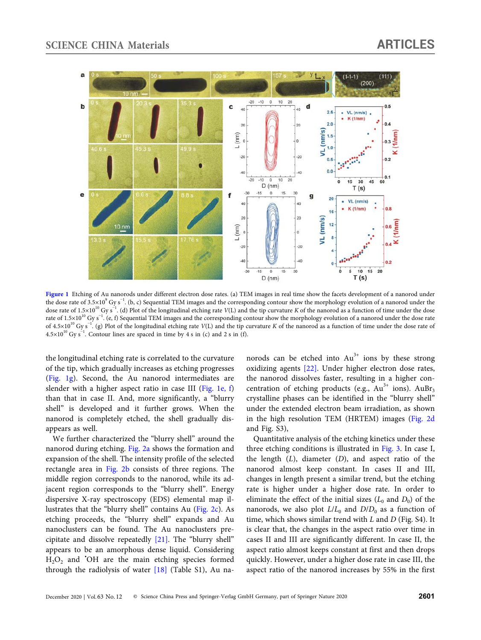

<span id="page-2-0"></span>[Figure 1](#page-2-0) Etching of Au nanorods under different electron dose rates. (a) TEM images in real time show the facets development of a nanorod under the dose rate of 3.5×10<sup>9</sup> Gy s<sup>-1</sup>. (b, c) Sequential TEM images and the corresponding contour show the morphology evolution of a nanorod under the dose rate of 1.5×10<sup>10</sup> Gy s<sup>−1</sup>. (d) Plot of the longitudinal etching rate *V*(L) and the tip curvature *K* of the nanorod as a function of time under the dose rate of 1.5×10<sup>10</sup> Gy s<sup>−1</sup>. (e, f) Sequential TEM images and the corresponding contour show the morphology evolution of a nanorod under the dose rate of 4.5×10<sup>10</sup> Gy s<sup>-1</sup>. (g) Plot of the longitudinal etching rate *V*(L) and the tip curvature *K* of the nanorod as a function of time under the dose rate of  $4.5\times10^{10}$  Gy s<sup>-1</sup>. Contour lines are spaced in time by 4 s in (c) and 2 s in (f).

the longitudinal etching rate is correlated to the curvature of the tip, which gradually increases as etching progresses [\(Fig. 1g\)](#page-2-0). Second, the Au nanorod intermediates are slender with a higher aspect ratio in case III ([Fig. 1e, f\)](#page-2-0) than that in case II. And, more significantly, a "blurry shell" is developed and it further grows. When the nanorod is completely etched, the shell gradually disappears as well.

We further characterized the "blurry shell" around the nanorod during etching. [Fig. 2a](#page-3-0) shows the formation and expansion of the shell. The intensity profile of the selected rectangle area in [Fig. 2b](#page-3-0) consists of three regions. The middle region corresponds to the nanorod, while its adjacent region corresponds to the "blurry shell". Energy dispersive X-ray spectroscopy (EDS) elemental map illustrates that the "blurry shell" contains Au [\(Fig. 2c](#page-3-0)). As etching proceeds, the "blurry shell" expands and Au nanoclusters can be found. The Au nanoclusters precipitate and dissolve repeatedly [\[21\]](#page-6-5). The "blurry shell" appears to be an amorphous dense liquid. Considering  $H_2O_2$  and 'OH are the main etching species formed through the radiolysis of water [\[18\]](#page-6-2) (Table S1), Au nanorods can be etched into  $Au^{3+}$  ions by these strong oxidizing agents [\[22\].](#page-6-6) Under higher electron dose rates, the nanorod dissolves faster, resulting in a higher concentration of etching products (e.g.,  $Au^{3+}$  ions).  $AuBr_3$ crystalline phases can be identified in the "blurry shell" under the extended electron beam irradiation, as shown in the high resolution TEM (HRTEM) images [\(Fig. 2d](#page-3-0) and Fig. S3),

Quantitative analysis of the etching kinetics under these three etching conditions is illustrated in [Fig. 3.](#page-4-0) In case I, the length (*L*), diameter (*D*), and aspect ratio of the nanorod almost keep constant. In cases II and III, changes in length present a similar trend, but the etching rate is higher under a higher dose rate. In order to eliminate the effect of the initial sizes  $(L_0$  and  $D_0$ ) of the nanorods, we also plot  $L/L_0$  and  $D/D_0$  as a function of time, which shows similar trend with *L* and *D* (Fig. S4). It is clear that, the changes in the aspect ratio over time in cases II and III are significantly different. In case II, the aspect ratio almost keeps constant at first and then drops quickly. However, under a higher dose rate in case III, the aspect ratio of the nanorod increases by 55% in the first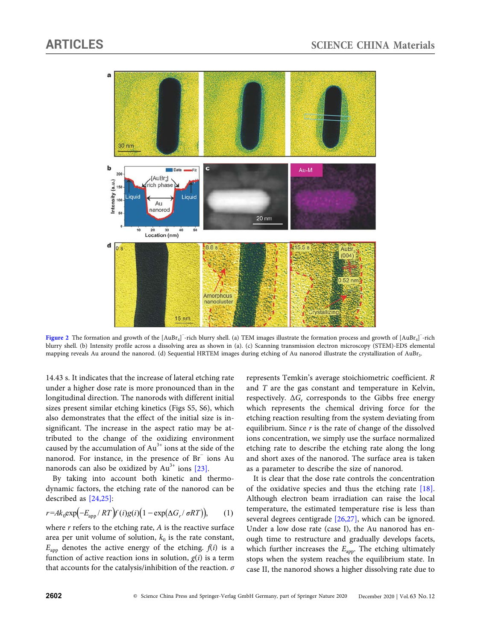

<span id="page-3-0"></span>[Figure 2](#page-3-0) The formation and growth of the [AuBr<sub>4</sub>]<sup>-</sup>-rich blurry shell. (a) TEM images illustrate the formation process and growth of [AuBr<sub>4</sub>]<sup>-</sup>-rich blurry shell. (b) Intensity profile across a dissolving area as shown in (a). (c) Scanning transmission electron microscopy (STEM)-EDS elemental mapping reveals Au around the nanorod. (d) Sequential HRTEM images during etching of Au nanorod illustrate the crystallization of AuBr3.

14.43 s. It indicates that the increase of lateral etching rate under a higher dose rate is more pronounced than in the longitudinal direction. The nanorods with different initial sizes present similar etching kinetics (Figs S5, S6), which also demonstrates that the effect of the initial size is insignificant. The increase in the aspect ratio may be attributed to the change of the oxidizing environment caused by the accumulation of  $Au^{3+}$  ions at the side of the nanorod. For instance, in the presence of Br<sup>−</sup> ions Au nanorods can also be oxidized by  $Au^{3+}$  ions [\[23\]](#page-6-7).

By taking into account both kinetic and thermodynamic factors, the etching rate of the nanorod can be described as [24[,25\]](#page-6-8):

$$
r = Ak_0 \exp\left(-E_{\rm app}/RT\right) f(i)g(i) \left(1 - \exp\left(\Delta G_r/\sigma RT\right)\right), \qquad (1)
$$

where *r* refers to the etching rate, *A* is the reactive surface area per unit volume of solution,  $k_0$  is the rate constant,  $E_{\text{app}}$  denotes the active energy of the etching.  $f(i)$  is a function of active reaction ions in solution,  $g(i)$  is a term that accounts for the catalysis/inhibition of the reaction. *σ* represents Temkin's average stoichiometric coefficient. *R* and *T* are the gas constant and temperature in Kelvin, respectively.  $\Delta G_r$  corresponds to the Gibbs free energy which represents the chemical driving force for the etching reaction resulting from the system deviating from equilibrium. Since *r* is the rate of change of the dissolved ions concentration, we simply use the surface normalized etching rate to describe the etching rate along the long and short axes of the nanorod. The surface area is taken as a parameter to describe the size of nanorod.

It is clear that the dose rate controls the concentration of the oxidative species and thus the etching rate [\[18\]](#page-6-2). Although electron beam irradiation can raise the local temperature, the estimated temperature rise is less than several degrees centigrade [26,[27](#page-6-9)], which can be ignored. Under a low dose rate (case I), the Au nanorod has enough time to restructure and gradually develops facets, which further increases the  $E_{app}$ . The etching ultimately stops when the system reaches the equilibrium state. In case II, the nanorod shows a higher dissolving rate due to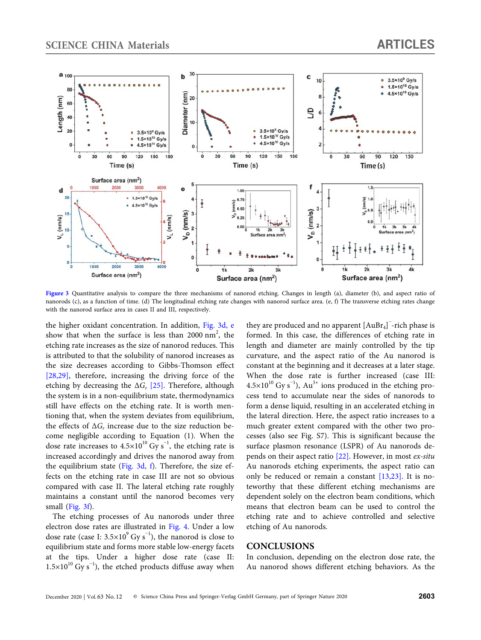

<span id="page-4-0"></span>[Figure 3](#page-4-0) Quantitative analysis to compare the three mechanisms of nanorod etching. Changes in length (a), diameter (b), and aspect ratio of nanorods (c), as a function of time. (d) The longitudinal etching rate changes with nanorod surface area. (e, f) The transverse etching rates change with the nanorod surface area in cases II and III, respectively.

the higher oxidant concentration. In addition, [Fig. 3d, e](#page-4-0) show that when the surface is less than 2000  $nm^2$ , the etching rate increases as the size of nanorod reduces. This is attributed to that the solubility of nanorod increases as the size decreases according to Gibbs-Thomson effect [28[,29\]](#page-6-10), therefore, increasing the driving force of the etching by decreasing the  $\Delta G_r$  [\[25\]](#page-6-8). Therefore, although the system is in a non-equilibrium state, thermodynamics still have effects on the etching rate. It is worth mentioning that, when the system deviates from equilibrium, the effects of  $\Delta G_r$  increase due to the size reduction become negligible according to Equation (1). When the dose rate increases to  $4.5 \times 10^{10}$  Gy s<sup>-1</sup>, the etching rate is increased accordingly and drives the nanorod away from the equilibrium state [\(Fig. 3d, f](#page-4-0)). Therefore, the size effects on the etching rate in case III are not so obvious compared with case II. The lateral etching rate roughly maintains a constant until the nanorod becomes very small ([Fig. 3f\)](#page-4-0).

The etching processes of Au nanorods under three electron dose rates are illustrated in [Fig. 4](#page-5-6). Under a low dose rate (case I: 3.5×10 $^9$  Gy s $^{-1}$ ), the nanorod is close to equilibrium state and forms more stable low-energy facets at the tips. Under a higher dose rate (case II:  $1.5\times10^{10}$  Gy s<sup>-1</sup>), the etched products diffuse away when

they are produced and no apparent  $\left[\mathrm{AuBr_4}\right]^{-}$  rich phase is formed. In this case, the differences of etching rate in length and diameter are mainly controlled by the tip curvature, and the aspect ratio of the Au nanorod is constant at the beginning and it decreases at a later stage. When the dose rate is further increased (case III:  $4.5\times10^{10}$  Gy s<sup>-1</sup>), Au<sup>3+</sup> ions produced in the etching process tend to accumulate near the sides of nanorods to form a dense liquid, resulting in an accelerated etching in the lateral direction. Here, the aspect ratio increases to a much greater extent compared with the other two processes (also see Fig. S7). This is significant because the surface plasmon resonance (LSPR) of Au nanorods depends on their aspect ratio [\[22\]](#page-6-6). However, in most *ex-situ* Au nanorods etching experiments, the aspect ratio can only be reduced or remain a constant [13[,23\]](#page-6-7). It is noteworthy that these different etching mechanisms are dependent solely on the electron beam conditions, which means that electron beam can be used to control the etching rate and to achieve controlled and selective etching of Au nanorods.

#### **CONCLUSIONS**

In conclusion, depending on the electron dose rate, the Au nanorod shows different etching behaviors. As the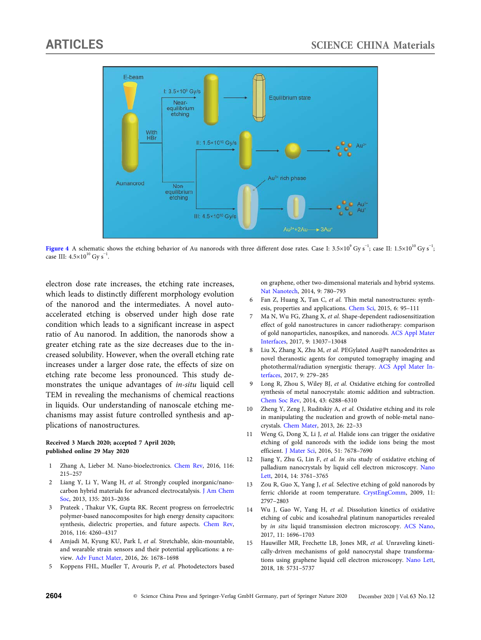

<span id="page-5-6"></span>**[Figure 4](#page-5-6)** A schematic shows the etching behavior of Au nanorods with three different dose rates. Case I: 3.5×10<sup>9</sup> Gy s<sup>−1</sup>; case II: 1.5×10<sup>10</sup> Gy s<sup>−1</sup>; case III:  $4.5\times10^{10}$  Gy s<sup>-1</sup>.

electron dose rate increases, the etching rate increases, which leads to distinctly different morphology evolution of the nanorod and the intermediates. A novel autoaccelerated etching is observed under high dose rate condition which leads to a significant increase in aspect ratio of Au nanorod. In addition, the nanorods show a greater etching rate as the size decreases due to the increased solubility. However, when the overall etching rate increases under a larger dose rate, the effects of size on etching rate become less pronounced. This study demonstrates the unique advantages of *in-situ* liquid cell TEM in revealing the mechanisms of chemical reactions in liquids. Our understanding of nanoscale etching mechanisms may assist future controlled synthesis and applications of nanostructures.

#### **Received 3 March 2020; accepted 7 April 2020; published online 29 May 2020**

- 1 Zhang A, Lieber M. Nano-bioelectronics. [Chem Rev,](https://doi.org/10.1021/acs.chemrev.5b00608) 2016, 116: 215–257
- 2 Liang Y, Li Y, Wang H, *et al.* Strongly coupled inorganic/nanocarbon hybrid materials for advanced electrocatalysis. [J Am Chem](https://doi.org/10.1021/ja3089923) [Soc,](https://doi.org/10.1021/ja3089923) 2013, 135: 2013–2036
- 3 Prateek , Thakur VK, Gupta RK. Recent progress on ferroelectric polymer-based nanocomposites for high energy density capacitors: synthesis, dielectric properties, and future aspects. [Chem Rev](https://doi.org/10.1021/acs.chemrev.5b00495), 2016, 116: 4260–4317
- 4 Amjadi M, Kyung KU, Park I, *et al.* Stretchable, skin-mountable, and wearable strain sensors and their potential applications: a review. [Adv Funct Mater](https://doi.org/10.1002/adfm.201504755), 2016, 26: 1678–1698
- <span id="page-5-0"></span>5 Koppens FHL, Mueller T, Avouris P, *et al.* Photodetectors based

on graphene, other two-dimensional materials and hybrid systems. [Nat Nanotech,](https://doi.org/10.1038/nnano.2014.215) 2014, 9: 780–793

- 6 Fan Z, Huang X, Tan C, *et al.* Thin metal nanostructures: synthesis, properties and applications. [Chem Sci,](https://doi.org/10.1039/C4SC02571G) 2015, 6: 95–111
- 7 Ma N, Wu FG, Zhang X, *et al.* Shape-dependent radiosensitization effect of gold nanostructures in cancer radiotherapy: comparison of gold nanoparticles, nanospikes, and nanorods. [ACS Appl Mater](https://doi.org/10.1021/acsami.7b01112) [Interfaces](https://doi.org/10.1021/acsami.7b01112), 2017, 9: 13037–13048
- <span id="page-5-1"></span>8 Liu X, Zhang X, Zhu M, *et al.* PEGylated Au@Pt nanodendrites as novel theranostic agents for computed tomography imaging and photothermal/radiation synergistic therapy. [ACS Appl Mater In](https://doi.org/10.1021/acsami.6b15183)[terfaces](https://doi.org/10.1021/acsami.6b15183), 2017, 9: 279–285
- 9 Long R, Zhou S, Wiley BJ, *et al.* Oxidative etching for controlled synthesis of metal nanocrystals: atomic addition and subtraction. [Chem Soc Rev](https://doi.org/10.1039/C4CS00136B), 2014, 43: 6288–6310
- <span id="page-5-2"></span>10 Zheng Y, Zeng J, Ruditskiy A, *et al.* Oxidative etching and its role in manipulating the nucleation and growth of noble-metal nanocrystals. [Chem Mater,](https://doi.org/10.1021/cm402023g) 2013, 26: 22–33
- 11 Weng G, Dong X, Li J, *et al.* Halide ions can trigger the oxidative etching of gold nanorods with the iodide ions being the most efficient. [J Mater Sci,](https://doi.org/10.1007/s10853-016-0050-1) 2016, 51: 7678–7690
- <span id="page-5-3"></span>12 Jiang Y, Zhu G, Lin F, *et al. In situ* study of oxidative etching of palladium nanocrystals by liquid cell electron microscopy. [Nano](https://doi.org/10.1021/nl500670q) [Lett,](https://doi.org/10.1021/nl500670q) 2014, 14: 3761–3765
- <span id="page-5-4"></span>13 Zou R, Guo X, Yang J, *et al.* Selective etching of gold nanorods by ferric chloride at room temperature. [CrystEngComm,](https://doi.org/10.1039/b911902g) 2009, 11: 2797–2803
- <span id="page-5-5"></span>14 Wu J, Gao W, Yang H, *et al.* Dissolution kinetics of oxidative etching of cubic and icosahedral platinum nanoparticles revealed by *in situ* liquid transmission electron microscopy. [ACS Nano,](https://doi.org/10.1021/acsnano.6b07541) 2017, 11: 1696–1703
- 15 Hauwiller MR, Frechette LB, Jones MR, *et al.* Unraveling kinetically-driven mechanisms of gold nanocrystal shape transformations using graphene liquid cell electron microscopy. [Nano Lett,](https://doi.org/10.1021/acs.nanolett.8b02337) 2018, 18: 5731–5737